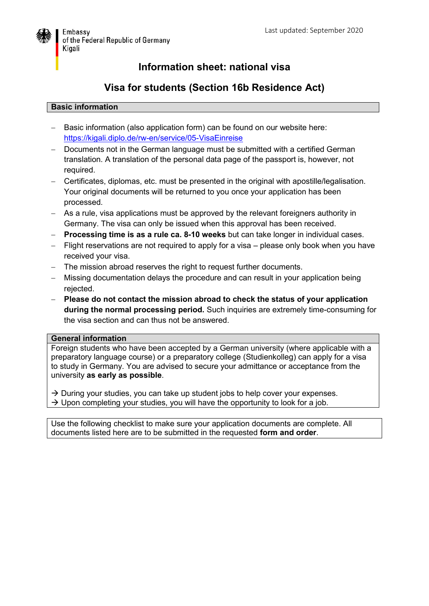

## **Information sheet: national visa**

# **Visa for students (Section 16b Residence Act)**

### **Basic information**

- Basic information (also application form) can be found on our website here: <https://kigali.diplo.de/rw-en/service/05-VisaEinreise>
- Documents not in the German language must be submitted with a certified German translation. A translation of the personal data page of the passport is, however, not required.
- Certificates, diplomas, etc. must be presented in the original with apostille/legalisation. Your original documents will be returned to you once your application has been processed.
- As a rule, visa applications must be approved by the relevant foreigners authority in Germany. The visa can only be issued when this approval has been received.
- **Processing time is as a rule ca. 8-10 weeks** but can take longer in individual cases.
- Flight reservations are not required to apply for a visa please only book when you have received your visa.
- The mission abroad reserves the right to request further documents.
- Missing documentation delays the procedure and can result in your application being rejected.
- **Please do not contact the mission abroad to check the status of your application during the normal processing period.** Such inquiries are extremely time-consuming for the visa section and can thus not be answered.

#### **General information**

Foreign students who have been accepted by a German university (where applicable with a preparatory language course) or a preparatory college (Studienkolleg) can apply for a visa to study in Germany. You are advised to secure your admittance or acceptance from the university **as early as possible**.

 $\rightarrow$  During your studies, you can take up student jobs to help cover your expenses.  $\rightarrow$  Upon completing your studies, you will have the opportunity to look for a job.

Use the following checklist to make sure your application documents are complete. All documents listed here are to be submitted in the requested **form and order**.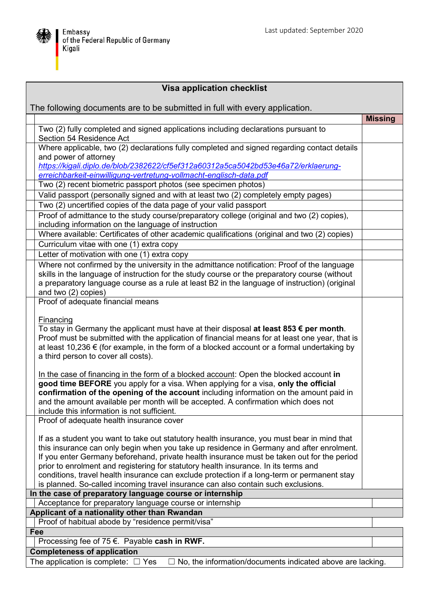

| <b>Visa application checklist</b>                                                                     |                                                                                                                                                                                                                                                                                                                                                                                                                                                                                                                                                                  |                |
|-------------------------------------------------------------------------------------------------------|------------------------------------------------------------------------------------------------------------------------------------------------------------------------------------------------------------------------------------------------------------------------------------------------------------------------------------------------------------------------------------------------------------------------------------------------------------------------------------------------------------------------------------------------------------------|----------------|
| The following documents are to be submitted in full with every application.                           |                                                                                                                                                                                                                                                                                                                                                                                                                                                                                                                                                                  |                |
|                                                                                                       |                                                                                                                                                                                                                                                                                                                                                                                                                                                                                                                                                                  | <b>Missing</b> |
|                                                                                                       | Two (2) fully completed and signed applications including declarations pursuant to<br>Section 54 Residence Act                                                                                                                                                                                                                                                                                                                                                                                                                                                   |                |
|                                                                                                       | Where applicable, two (2) declarations fully completed and signed regarding contact details<br>and power of attorney                                                                                                                                                                                                                                                                                                                                                                                                                                             |                |
|                                                                                                       | https://kigali.diplo.de/blob/2382622/cf5ef312a60312a5ca5042bd53e46a72/erklaerung-<br>erreichbarkeit-einwilligung-vertretung-vollmacht-englisch-data.pdf                                                                                                                                                                                                                                                                                                                                                                                                          |                |
|                                                                                                       | Two (2) recent biometric passport photos (see specimen photos)                                                                                                                                                                                                                                                                                                                                                                                                                                                                                                   |                |
|                                                                                                       | Valid passport (personally signed and with at least two (2) completely empty pages)                                                                                                                                                                                                                                                                                                                                                                                                                                                                              |                |
|                                                                                                       | Two (2) uncertified copies of the data page of your valid passport                                                                                                                                                                                                                                                                                                                                                                                                                                                                                               |                |
|                                                                                                       | Proof of admittance to the study course/preparatory college (original and two (2) copies),                                                                                                                                                                                                                                                                                                                                                                                                                                                                       |                |
|                                                                                                       | including information on the language of instruction                                                                                                                                                                                                                                                                                                                                                                                                                                                                                                             |                |
|                                                                                                       | Where available: Certificates of other academic qualifications (original and two (2) copies)<br>Curriculum vitae with one (1) extra copy                                                                                                                                                                                                                                                                                                                                                                                                                         |                |
|                                                                                                       | Letter of motivation with one (1) extra copy                                                                                                                                                                                                                                                                                                                                                                                                                                                                                                                     |                |
|                                                                                                       | Where not confirmed by the university in the admittance notification: Proof of the language                                                                                                                                                                                                                                                                                                                                                                                                                                                                      |                |
|                                                                                                       | skills in the language of instruction for the study course or the preparatory course (without<br>a preparatory language course as a rule at least B2 in the language of instruction) (original<br>and two (2) copies)                                                                                                                                                                                                                                                                                                                                            |                |
|                                                                                                       | Proof of adequate financial means                                                                                                                                                                                                                                                                                                                                                                                                                                                                                                                                |                |
|                                                                                                       | <b>Financing</b><br>To stay in Germany the applicant must have at their disposal at least 853 $\epsilon$ per month.<br>Proof must be submitted with the application of financial means for at least one year, that is<br>at least 10,236 $\epsilon$ (for example, in the form of a blocked account or a formal undertaking by<br>a third person to cover all costs).                                                                                                                                                                                             |                |
|                                                                                                       | In the case of financing in the form of a blocked account: Open the blocked account in<br>good time BEFORE you apply for a visa. When applying for a visa, only the official<br>confirmation of the opening of the account including information on the amount paid in<br>and the amount available per month will be accepted. A confirmation which does not<br>include this information is not sufficient.                                                                                                                                                      |                |
|                                                                                                       | Proof of adequate health insurance cover                                                                                                                                                                                                                                                                                                                                                                                                                                                                                                                         |                |
|                                                                                                       | If as a student you want to take out statutory health insurance, you must bear in mind that<br>this insurance can only begin when you take up residence in Germany and after enrolment.<br>If you enter Germany beforehand, private health insurance must be taken out for the period<br>prior to enrolment and registering for statutory health insurance. In its terms and<br>conditions, travel health insurance can exclude protection if a long-term or permanent stay<br>is planned. So-called incoming travel insurance can also contain such exclusions. |                |
| In the case of preparatory language course or internship                                              |                                                                                                                                                                                                                                                                                                                                                                                                                                                                                                                                                                  |                |
| Acceptance for preparatory language course or internship                                              |                                                                                                                                                                                                                                                                                                                                                                                                                                                                                                                                                                  |                |
| Applicant of a nationality other than Rwandan                                                         |                                                                                                                                                                                                                                                                                                                                                                                                                                                                                                                                                                  |                |
| Proof of habitual abode by "residence permit/visa"                                                    |                                                                                                                                                                                                                                                                                                                                                                                                                                                                                                                                                                  |                |
|                                                                                                       | Fee                                                                                                                                                                                                                                                                                                                                                                                                                                                                                                                                                              |                |
| Processing fee of 75 $\epsilon$ . Payable cash in RWF.                                                |                                                                                                                                                                                                                                                                                                                                                                                                                                                                                                                                                                  |                |
| <b>Completeness of application</b>                                                                    |                                                                                                                                                                                                                                                                                                                                                                                                                                                                                                                                                                  |                |
| The application is complete: $\Box$ Yes<br>No, the information/documents indicated above are lacking. |                                                                                                                                                                                                                                                                                                                                                                                                                                                                                                                                                                  |                |